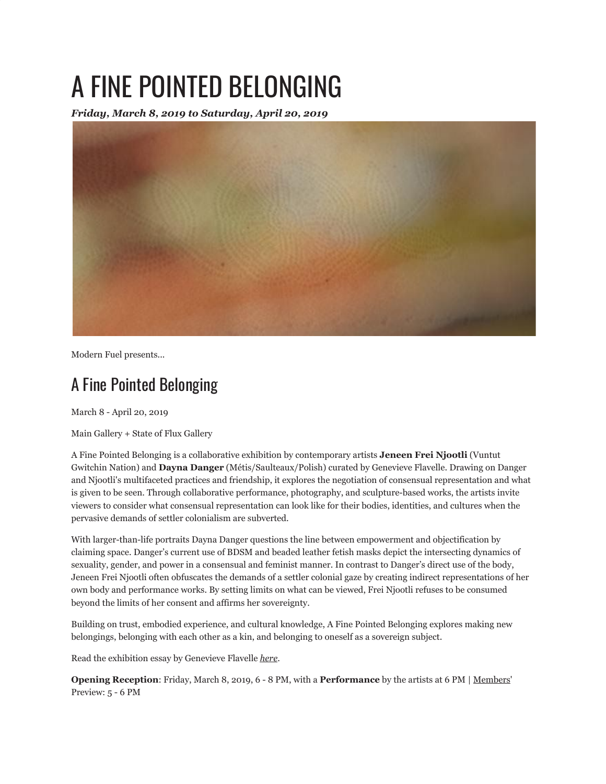## A FINE POINTED BELONGING

*Friday, March 8, 2019 to Saturday, April 20, 2019*



Modern Fuel presents...

## A Fine Pointed Belonging

March 8 - April 20, 2019

Main Gallery + State of Flux Gallery

A Fine Pointed Belonging is a collaborative exhibition by contemporary artists **Jeneen Frei Njootli** (Vuntut Gwitchin Nation) and **Dayna Danger** (Métis/Saulteaux/Polish) curated by Genevieve Flavelle. Drawing on Danger and Njootli's multifaceted practices and friendship, it explores the negotiation of consensual representation and what is given to be seen. Through collaborative performance, photography, and sculpture-based works, the artists invite viewers to consider what consensual representation can look like for their bodies, identities, and cultures when the pervasive demands of settler colonialism are subverted.

With larger-than-life portraits Dayna Danger questions the line between empowerment and objectification by claiming space. Danger's current use of BDSM and beaded leather fetish masks depict the intersecting dynamics of sexuality, gender, and power in a consensual and feminist manner. In contrast to Danger's direct use of the body, Jeneen Frei Njootli often obfuscates the demands of a settler colonial gaze by creating indirect representations of her own body and performance works. By setting limits on what can be viewed, Frei Njootli refuses to be consumed beyond the limits of her consent and affirms her sovereignty.

Building on trust, embodied experience, and cultural knowledge, A Fine Pointed Belonging explores making new belongings, belonging with each other as a kin, and belonging to oneself as a sovereign subject.

Read the exhibition essay by Genevieve Flavelle *here*.

**Opening Reception**: Friday, March 8, 2019, 6 - 8 PM, with a **Performance** by the artists at 6 PM | Members' Preview: 5 - 6 PM